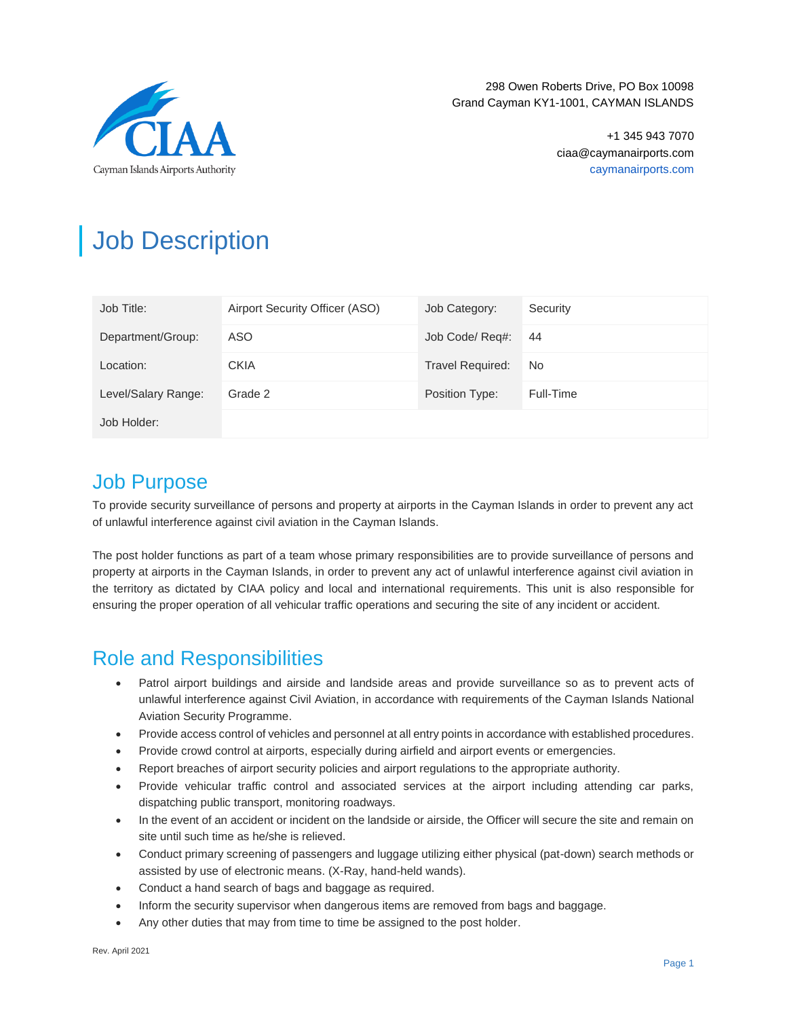

298 Owen Roberts Drive, PO Box 10098 Grand Cayman KY1-1001, CAYMAN ISLANDS

> +1 345 943 7070 ciaa@caymanairports.com caymanairports.com

# Job Description

| Job Title:          | Airport Security Officer (ASO) | Job Category:           | Security  |
|---------------------|--------------------------------|-------------------------|-----------|
| Department/Group:   | ASO.                           | Job Code/ Req#:         | 44        |
| Location:           | <b>CKIA</b>                    | <b>Travel Required:</b> | No.       |
| Level/Salary Range: | Grade 2                        | Position Type:          | Full-Time |
| Job Holder:         |                                |                         |           |

### Job Purpose

To provide security surveillance of persons and property at airports in the Cayman Islands in order to prevent any act of unlawful interference against civil aviation in the Cayman Islands.

The post holder functions as part of a team whose primary responsibilities are to provide surveillance of persons and property at airports in the Cayman Islands, in order to prevent any act of unlawful interference against civil aviation in the territory as dictated by CIAA policy and local and international requirements. This unit is also responsible for ensuring the proper operation of all vehicular traffic operations and securing the site of any incident or accident.

### Role and Responsibilities

- Patrol airport buildings and airside and landside areas and provide surveillance so as to prevent acts of unlawful interference against Civil Aviation, in accordance with requirements of the Cayman Islands National Aviation Security Programme.
- Provide access control of vehicles and personnel at all entry points in accordance with established procedures.
- Provide crowd control at airports, especially during airfield and airport events or emergencies.
- Report breaches of airport security policies and airport regulations to the appropriate authority.
- Provide vehicular traffic control and associated services at the airport including attending car parks, dispatching public transport, monitoring roadways.
- In the event of an accident or incident on the landside or airside, the Officer will secure the site and remain on site until such time as he/she is relieved.
- Conduct primary screening of passengers and luggage utilizing either physical (pat-down) search methods or assisted by use of electronic means. (X-Ray, hand-held wands).
- Conduct a hand search of bags and baggage as required.
- Inform the security supervisor when dangerous items are removed from bags and baggage.
- Any other duties that may from time to time be assigned to the post holder.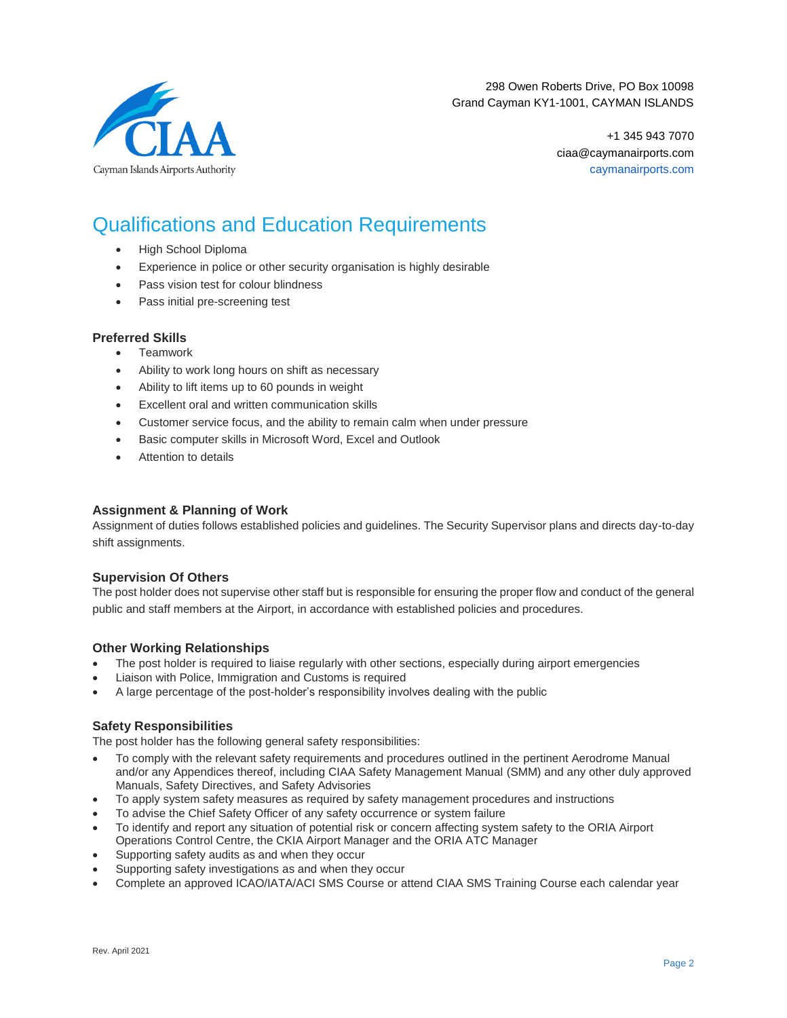

298 Owen Roberts Drive, PO Box 10098 Grand Cayman KY1-1001, CAYMAN ISLANDS

> +1 345 943 7070 ciaa@caymanairports.com caymanairports.com

### Qualifications and Education Requirements

- High School Diploma
- Experience in police or other security organisation is highly desirable
- Pass vision test for colour blindness
- Pass initial pre-screening test

#### **Preferred Skills**

- **Teamwork**
- Ability to work long hours on shift as necessary
- Ability to lift items up to 60 pounds in weight
- Excellent oral and written communication skills
- Customer service focus, and the ability to remain calm when under pressure
- Basic computer skills in Microsoft Word, Excel and Outlook
- Attention to details

#### **Assignment & Planning of Work**

Assignment of duties follows established policies and guidelines. The Security Supervisor plans and directs day-to-day shift assignments.

#### **Supervision Of Others**

The post holder does not supervise other staff but is responsible for ensuring the proper flow and conduct of the general public and staff members at the Airport, in accordance with established policies and procedures.

#### **Other Working Relationships**

- The post holder is required to liaise regularly with other sections, especially during airport emergencies
- Liaison with Police, Immigration and Customs is required
- A large percentage of the post-holder's responsibility involves dealing with the public

#### **Safety Responsibilities**

The post holder has the following general safety responsibilities:

- To comply with the relevant safety requirements and procedures outlined in the pertinent Aerodrome Manual and/or any Appendices thereof, including CIAA Safety Management Manual (SMM) and any other duly approved Manuals, Safety Directives, and Safety Advisories
- To apply system safety measures as required by safety management procedures and instructions
- To advise the Chief Safety Officer of any safety occurrence or system failure
- To identify and report any situation of potential risk or concern affecting system safety to the ORIA Airport Operations Control Centre, the CKIA Airport Manager and the ORIA ATC Manager
- Supporting safety audits as and when they occur
- Supporting safety investigations as and when they occur
- Complete an approved ICAO/IATA/ACI SMS Course or attend CIAA SMS Training Course each calendar year